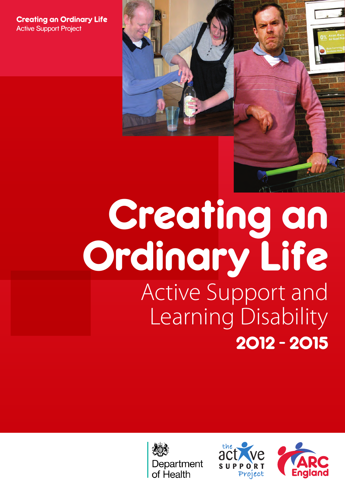Creating an Ordinary Life Active Support Project



# Active Support and Learning Disability 2012 - 2015 Creating an Ordinary Life





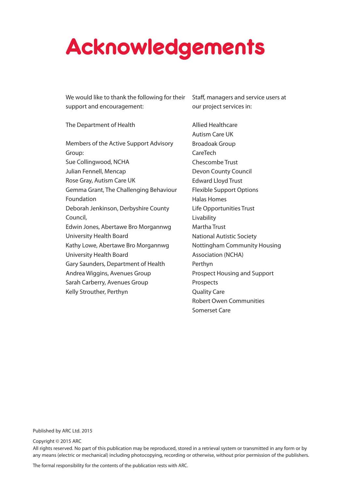## Acknowledgements

We would like to thank the following for their support and encouragement:

The Department of Health

Members of the Active Support Advisory Group: Sue Collingwood, NCHA Julian Fennell, Mencap Rose Gray, Autism Care UK Gemma Grant, The Challenging Behaviour Foundation Deborah Jenkinson, Derbyshire County Council, Edwin Jones, Abertawe Bro Morgannwg University Health Board Kathy Lowe, Abertawe Bro Morgannwg University Health Board Gary Saunders, Department of Health Andrea Wiggins, Avenues Group Sarah Carberry, Avenues Group Kelly Strouther, Perthyn

Staff, managers and service users at our project services in:

Allied Healthcare Autism Care UK Broadoak Group CareTech Chescombe Trust Devon County Council Edward Lloyd Trust Flexible Support Options Halas Homes Life Opportunities Trust Livability Martha Trust National Autistic Society Nottingham Community Housing Association (NCHA) Perthyn Prospect Housing and Support Prospects Quality Care Robert Owen Communities Somerset Care

Published by ARC Ltd. 2015

Copyright © 2015 ARC

All rights reserved. No part of this publication may be reproduced, stored in a retrieval system or transmitted in any form or by any means (electric or mechanical) including photocopying, recording or otherwise, without prior permission of the publishers.

The formal responsibility for the contents of the publication rests with ARC.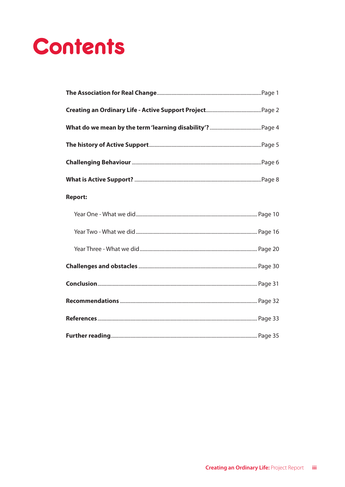## **Contents**

| <b>Report:</b> |  |
|----------------|--|
|                |  |
|                |  |
|                |  |
|                |  |
|                |  |
|                |  |
|                |  |
|                |  |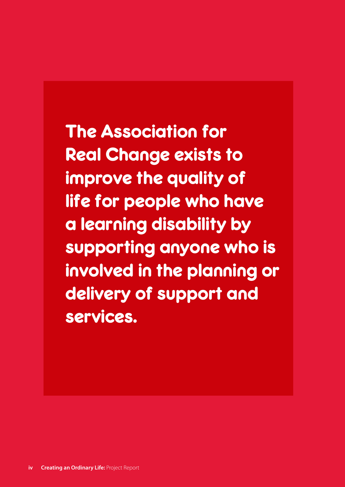The Association for Real Change exists to improve the quality of life for people who have a learning disability by supporting anyone who is involved in the planning or delivery of support and services.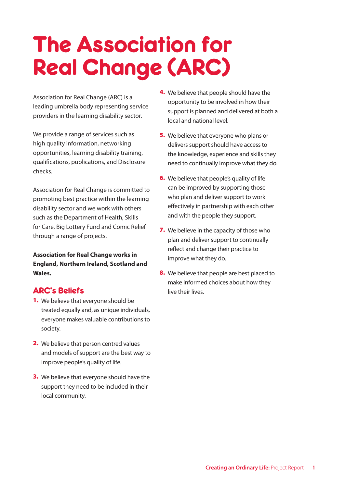## The Association for Real Change (ARC)

Association for Real Change (ARC) is a leading umbrella body representing service providers in the learning disability sector.

We provide a range of services such as high quality information, networking opportunities, learning disability training, qualifications, publications, and Disclosure checks.

Association for Real Change is committed to promoting best practice within the learning disability sector and we work with others such as the Department of Health, Skills for Care, Big Lottery Fund and Comic Relief through a range of projects.

**Association for Real Change works in England, Northern Ireland, Scotland and Wales.**

#### ARC's Beliefs

- **1.** We believe that everyone should be treated equally and, as unique individuals, everyone makes valuable contributions to society.
- 2. We believe that person centred values and models of support are the best way to improve people's quality of life.
- **3.** We believe that everyone should have the support they need to be included in their local community.
- **4.** We believe that people should have the opportunity to be involved in how their support is planned and delivered at both a local and national level.
- **5.** We believe that everyone who plans or delivers support should have access to the knowledge, experience and skills they need to continually improve what they do.
- **6.** We believe that people's quality of life can be improved by supporting those who plan and deliver support to work effectively in partnership with each other and with the people they support.
- **7.** We believe in the capacity of those who plan and deliver support to continually reflect and change their practice to improve what they do.
- 8. We believe that people are best placed to make informed choices about how they live their lives.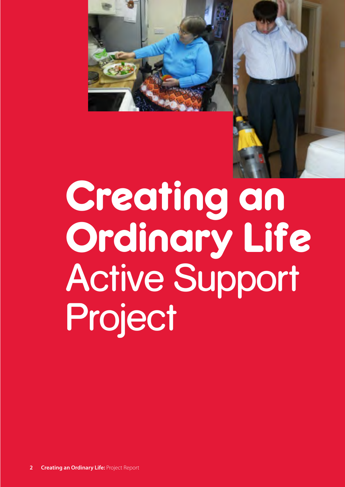

# Creating an Ordinary Life Active Support Project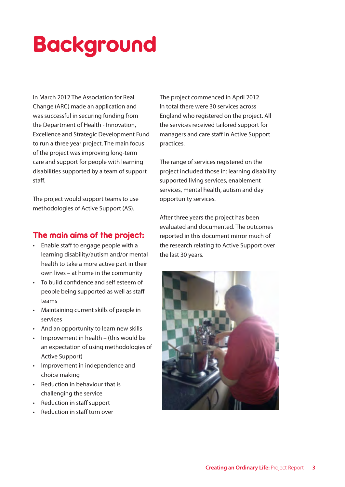# Background

In March 2012 The Association for Real Change (ARC) made an application and was successful in securing funding from the Department of Health - Innovation, Excellence and Strategic Development Fund to run a three year project. The main focus of the project was improving long-term care and support for people with learning disabilities supported by a team of support staff.

The project would support teams to use methodologies of Active Support (AS).

#### The main aims of the project:

- • Enable staff to engage people with a learning disability/autism and/or mental health to take a more active part in their own lives – at home in the community
- • To build confidence and self esteem of people being supported as well as staff teams
- • Maintaining current skills of people in services
- • And an opportunity to learn new skills
- Improvement in health  $-$  (this would be an expectation of using methodologies of Active Support)
- • Improvement in independence and choice making
- • Reduction in behaviour that is challenging the service
- • Reduction in staff support
- Reduction in staff turn over

The project commenced in April 2012. In total there were 30 services across England who registered on the project. All the services received tailored support for managers and care staff in Active Support practices.

The range of services registered on the project included those in: learning disability supported living services, enablement services, mental health, autism and day opportunity services.

After three years the project has been evaluated and documented. The outcomes reported in this document mirror much of the research relating to Active Support over the last 30 years.

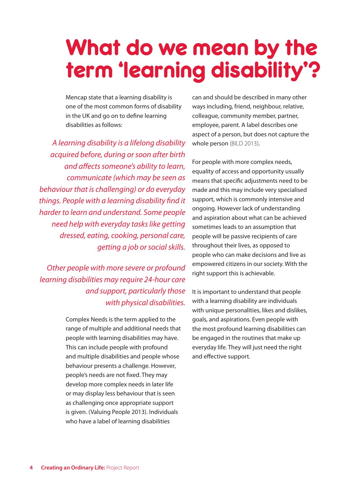## What do we mean by the term 'learning disability'?

Mencap state that a learning disability is one of the most common forms of disability in the UK and go on to define learning disabilities as follows:

*A learning disability is a lifelong disability acquired before, during or soon after birth and affects someone's ability to learn, communicate (which may be seen as behaviour that is challenging) or do everyday things. People with a learning disability find it harder to learn and understand. Some people need help with everyday tasks like getting dressed, eating, cooking, personal care, getting a job or social skills.* 

*Other people with more severe or profound learning disabilities may require 24-hour care and support, particularly those with physical disabilities.* 

> Complex Needs is the term applied to the range of multiple and additional needs that people with learning disabilities may have. This can include people with profound and multiple disabilities and people whose behaviour presents a challenge. However, people's needs are not fixed. They may develop more complex needs in later life or may display less behaviour that is seen as challenging once appropriate support is given. (Valuing People 2013). Individuals who have a label of learning disabilities

can and should be described in many other ways including, friend, neighbour, relative, colleague, community member, partner, employee, parent. A label describes one aspect of a person, but does not capture the whole person (BILD 2013).

For people with more complex needs, equality of access and opportunity usually means that specific adjustments need to be made and this may include very specialised support, which is commonly intensive and ongoing. However lack of understanding and aspiration about what can be achieved sometimes leads to an assumption that people will be passive recipients of care throughout their lives, as opposed to people who can make decisions and live as empowered citizens in our society. With the right support this is achievable.

It is important to understand that people with a learning disability are individuals with unique personalities, likes and dislikes, goals, and aspirations. Even people with the most profound learning disabilities can be engaged in the routines that make up everyday life. They will just need the right and effective support.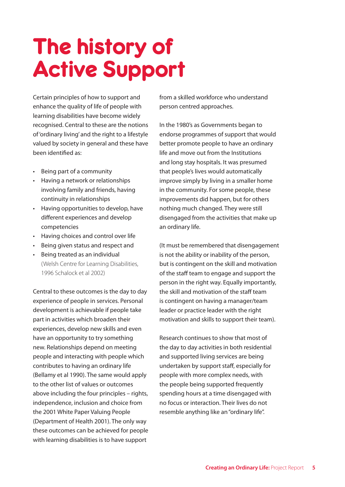## The history of Active Support

Certain principles of how to support and enhance the quality of life of people with learning disabilities have become widely recognised. Central to these are the notions of 'ordinary living' and the right to a lifestyle valued by society in general and these have been identified as:

- • Being part of a community
- • Having a network or relationships involving family and friends, having continuity in relationships
- • Having opportunities to develop, have different experiences and develop competencies
- • Having choices and control over life
- • Being given status and respect and
- • Being treated as an individual (Welsh Centre for Learning Disabilities, 1996 Schalock et al 2002)

Central to these outcomes is the day to day experience of people in services. Personal development is achievable if people take part in activities which broaden their experiences, develop new skills and even have an opportunity to try something new. Relationships depend on meeting people and interacting with people which contributes to having an ordinary life (Bellamy et al 1990). The same would apply to the other list of values or outcomes above including the four principles – rights, independence, inclusion and choice from the 2001 White Paper Valuing People (Department of Health 2001). The only way these outcomes can be achieved for people with learning disabilities is to have support

from a skilled workforce who understand person centred approaches.

In the 1980's as Governments began to endorse programmes of support that would better promote people to have an ordinary life and move out from the Institutions and long stay hospitals. It was presumed that people's lives would automatically improve simply by living in a smaller home in the community. For some people, these improvements did happen, but for others nothing much changed. They were still disengaged from the activities that make up an ordinary life.

(It must be remembered that disengagement is not the ability or inability of the person, but is contingent on the skill and motivation of the staff team to engage and support the person in the right way. Equally importantly, the skill and motivation of the staff team is contingent on having a manager/team leader or practice leader with the right motivation and skills to support their team).

Research continues to show that most of the day to day activities in both residential and supported living services are being undertaken by support staff, especially for people with more complex needs, with the people being supported frequently spending hours at a time disengaged with no focus or interaction. Their lives do not resemble anything like an "ordinary life".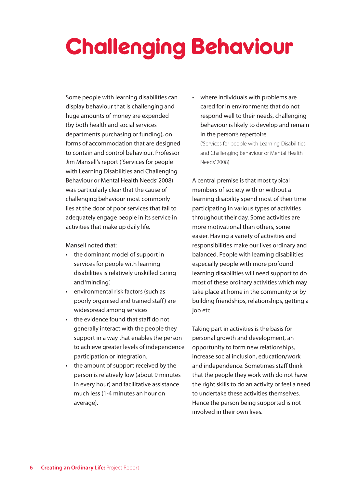# Challenging Behaviour

Some people with learning disabilities can display behaviour that is challenging and huge amounts of money are expended (by both health and social services departments purchasing or funding), on forms of accommodation that are designed to contain and control behaviour. Professor Jim Mansell's report ('Services for people with Learning Disabilities and Challenging Behaviour or Mental Health Needs' 2008) was particularly clear that the cause of challenging behaviour most commonly lies at the door of poor services that fail to adequately engage people in its service in activities that make up daily life.

Mansell noted that:

- • the dominant model of support in services for people with learning disabilities is relatively unskilled caring and 'minding'.
- • environmental risk factors (such as poorly organised and trained staff) are widespread among services
- • the evidence found that staff do not generally interact with the people they support in a way that enables the person to achieve greater levels of independence participation or integration.
- • the amount of support received by the person is relatively low (about 9 minutes in every hour) and facilitative assistance much less (1-4 minutes an hour on average).

where individuals with problems are cared for in environments that do not respond well to their needs, challenging behaviour is likely to develop and remain in the person's repertoire. ('Services for people with Learning Disabilities

and Challenging Behaviour or Mental Health Needs' 2008)

A central premise is that most typical members of society with or without a learning disability spend most of their time participating in various types of activities throughout their day. Some activities are more motivational than others, some easier. Having a variety of activities and responsibilities make our lives ordinary and balanced. People with learning disabilities especially people with more profound learning disabilities will need support to do most of these ordinary activities which may take place at home in the community or by building friendships, relationships, getting a job etc.

Taking part in activities is the basis for personal growth and development, an opportunity to form new relationships, increase social inclusion, education/work and independence. Sometimes staff think that the people they work with do not have the right skills to do an activity or feel a need to undertake these activities themselves. Hence the person being supported is not involved in their own lives.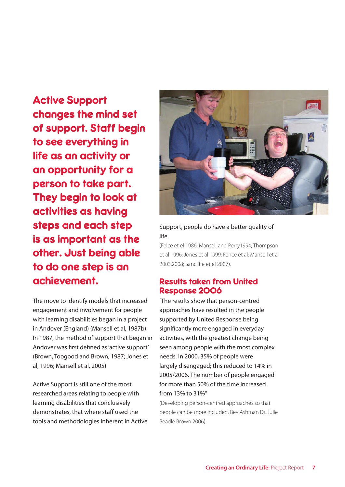Active Support changes the mind set of support. Staff begin to see everything in life as an activity or an opportunity for a person to take part. They begin to look at activities as having steps and each step is as important as the other. Just being able to do one step is an achievement.

The move to identify models that increased engagement and involvement for people with learning disabilities began in a project in Andover (England) (Mansell et al, 1987b). In 1987, the method of support that began in Andover was first defined as 'active support' (Brown, Toogood and Brown, 1987; Jones et al, 1996; Mansell et al, 2005)

Active Support is still one of the most researched areas relating to people with learning disabilities that conclusively demonstrates, that where staff used the tools and methodologies inherent in Active



#### Support, people do have a better quality of life.

(Felce et el 1986; Mansell and Perry1994; Thompson et al 1996; Jones et al 1999; Fence et al; Mansell et al 2003,2008; Sancliffe et el 2007).

#### Results taken from United Response 2006

'The results show that person-centred approaches have resulted in the people supported by United Response being significantly more engaged in everyday activities, with the greatest change being seen among people with the most complex needs. In 2000, 35% of people were largely disengaged; this reduced to 14% in 2005/2006. The number of people engaged for more than 50% of the time increased from 13% to 31%"

(Developing person-centred approaches so that people can be more included, Bev Ashman Dr. Julie Beadle Brown 2006).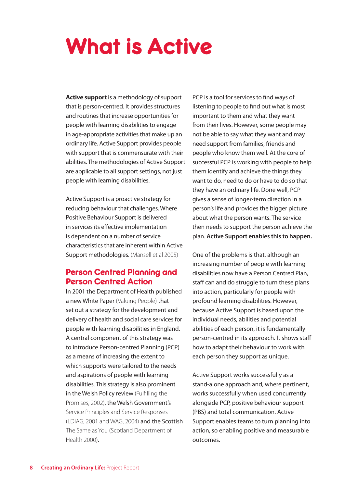## What is Active

**Active support** is a methodology of support that is person-centred. It provides structures and routines that increase opportunities for people with learning disabilities to engage in age-appropriate activities that make up an ordinary life. Active Support provides people with support that is commensurate with their abilities. The methodologies of Active Support are applicable to all support settings, not just people with learning disabilities.

Active Support is a proactive strategy for reducing behaviour that challenges. Where Positive Behaviour Support is delivered in services its effective implementation is dependent on a number of service characteristics that are inherent within Active Support methodologies. (Mansell et al 2005)

#### Person Centred Planning and Person Centred Action

In 2001 the Department of Health published a new White Paper (Valuing People) that set out a strategy for the development and delivery of health and social care services for people with learning disabilities in England. A central component of this strategy was to introduce Person-centred Planning (PCP) as a means of increasing the extent to which supports were tailored to the needs and aspirations of people with learning disabilities. This strategy is also prominent in the Welsh Policy review (Fulfilling the Promises, 2002), the Welsh Government's Service Principles and Service Responses (LDIAG, 2001 and WAG, 2004) and the Scottish The Same as You (Scotland Department of Health 2000).

PCP is a tool for services to find ways of listening to people to find out what is most important to them and what they want from their lives. However, some people may not be able to say what they want and may need support from families, friends and people who know them well. At the core of successful PCP is working with people to help them identify and achieve the things they want to do, need to do or have to do so that they have an ordinary life. Done well, PCP gives a sense of longer-term direction in a person's life and provides the bigger picture about what the person wants. The service then needs to support the person achieve the plan. **Active Support enables this to happen.** 

One of the problems is that, although an increasing number of people with learning disabilities now have a Person Centred Plan, staff can and do struggle to turn these plans into action, particularly for people with profound learning disabilities. However, because Active Support is based upon the individual needs, abilities and potential abilities of each person, it is fundamentally person-centred in its approach. It shows staff how to adapt their behaviour to work with each person they support as unique.

Active Support works successfully as a stand-alone approach and, where pertinent, works successfully when used concurrently alongside PCP, positive behaviour support (PBS) and total communication. Active Support enables teams to turn planning into action, so enabling positive and measurable outcomes.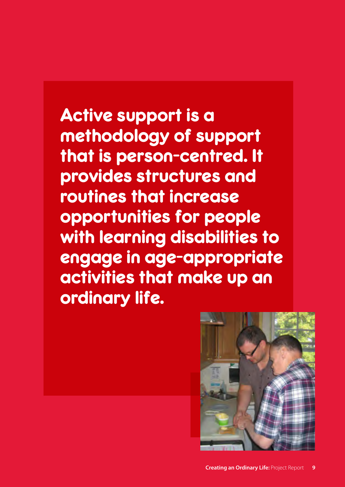Active support is a methodology of support that is person-centred. It provides structures and routines that increase opportunities for people with learning disabilities to engage in age-appropriate activities that make up an ordinary life.

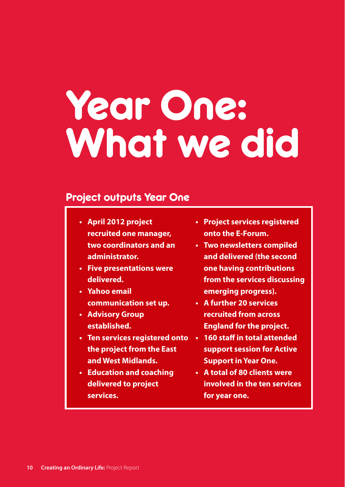# Year One: What we did

#### Project outputs Year One

- **• April 2012 project recruited one manager, two coordinators and an administrator.**
- **• Five presentations were delivered.**
- **• Yahoo email communication set up.**
- **• Advisory Group established.**
- **• Ten services registered onto the project from the East and West Midlands.**
- **• Education and coaching delivered to project services.**
- **• Project services registered onto the E-Forum.**
- **• Two newsletters compiled and delivered (the second one having contributions from the services discussing emerging progress).**
- **• A further 20 services recruited from across England for the project.**
- **• 160 staff in total attended support session for Active Support in Year One.**
- **• A total of 80 clients were involved in the ten services for year one.**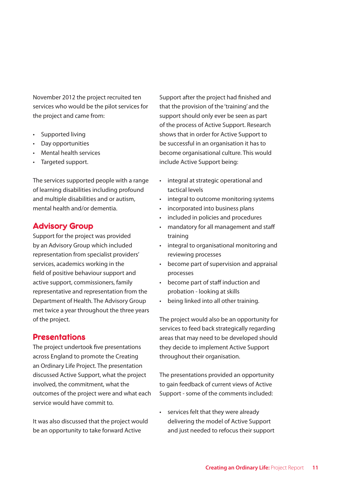November 2012 the project recruited ten services who would be the pilot services for the project and came from:

- • Supported living
- • Day opportunities
- • Mental health services
- • Targeted support.

The services supported people with a range of learning disabilities including profound and multiple disabilities and or autism, mental health and/or dementia.

#### Advisory Group

Support for the project was provided by an Advisory Group which included representation from specialist providers' services, academics working in the field of positive behaviour support and active support, commissioners, family representative and representation from the Department of Health. The Advisory Group met twice a year throughout the three years of the project.

#### Presentations

The project undertook five presentations across England to promote the Creating an Ordinary Life Project. The presentation discussed Active Support, what the project involved, the commitment, what the outcomes of the project were and what each service would have commit to.

It was also discussed that the project would be an opportunity to take forward Active

Support after the project had finished and that the provision of the 'training' and the support should only ever be seen as part of the process of Active Support. Research shows that in order for Active Support to be successful in an organisation it has to become organisational culture. This would include Active Support being:

- • integral at strategic operational and tactical levels
- • integral to outcome monitoring systems
- incorporated into business plans
- included in policies and procedures
- mandatory for all management and staff training
- • integral to organisational monitoring and reviewing processes
- • become part of supervision and appraisal processes
- • become part of staff induction and probation - looking at skills
- • being linked into all other training.

The project would also be an opportunity for services to feed back strategically regarding areas that may need to be developed should they decide to implement Active Support throughout their organisation.

The presentations provided an opportunity to gain feedback of current views of Active Support - some of the comments included:

• services felt that they were already delivering the model of Active Support and just needed to refocus their support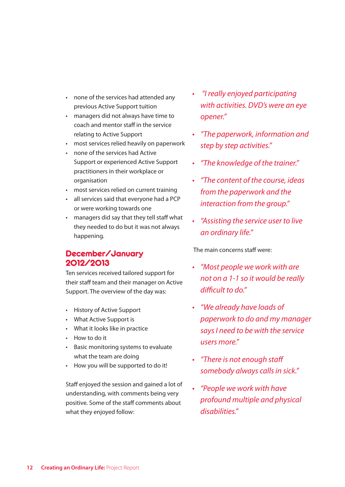- • none of the services had attended any previous Active Support tuition
- • managers did not always have time to coach and mentor staff in the service relating to Active Support
- • most services relied heavily on paperwork
- • none of the services had Active Support or experienced Active Support practitioners in their workplace or organisation
- most services relied on current training
- • all services said that everyone had a PCP or were working towards one
- • managers did say that they tell staff what they needed to do but it was not always happening.

#### December/January 2012/2013

Ten services received tailored support for their staff team and their manager on Active Support. The overview of the day was:

- • History of Active Support
- • What Active Support is
- • What it looks like in practice
- How to do it
- • Basic monitoring systems to evaluate what the team are doing
- • How you will be supported to do it!

Staff enjoyed the session and gained a lot of understanding, with comments being very positive. Some of the staff comments about what they enjoyed follow:

- "I really enjoyed participating *with activities. DVD's were an eye opener."*
- "The paperwork, information and *step by step activities."*
- • "The knowledge of the trainer."
- • "The content of the course, ideas *from the paperwork and the interaction from the group."*
- "Assisting the service user to live *an ordinary life."*

The main concerns staff were:

- "Most people we work with are *not on a 1-1 so it would be really difficult to do."*
- • "We already have loads of *paperwork to do and my manager*  saysI need to be with the service *users more."*
- • "There is not enough staff *somebody always calls in sick."*
- "People we work with have *profound multiple and physical disabilities."*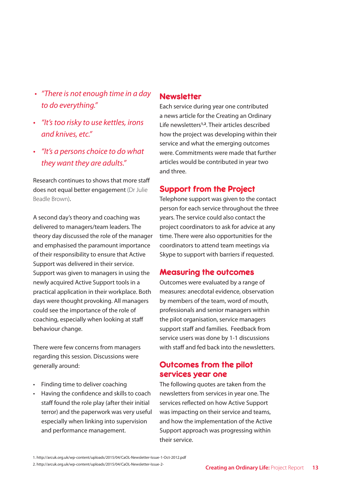- "There is not enough time in a day *to do everything."*
- "It's too risky to use kettles, irons *and knives, etc."*
- • "It's a persons choice to do what *they want they are adults."*

Research continues to shows that more staff does not equal better engagement (Dr Julie Beadle Brown).

A second day's theory and coaching was delivered to managers/team leaders. The theory day discussed the role of the manager and emphasised the paramount importance of their responsibility to ensure that Active Support was delivered in their service. Support was given to managers in using the newly acquired Active Support tools in a practical application in their workplace. Both days were thought provoking. All managers could see the importance of the role of coaching, especially when looking at staff behaviour change.

There were few concerns from managers regarding this session. Discussions were generally around:

- • Finding time to deliver coaching
- • Having the confidence and skills to coach staff found the role play (after their initial terror) and the paperwork was very useful especially when linking into supervision and performance management.

#### Newsletter

Each service during year one contributed a news article for the Creating an Ordinary Life newsletters**1,2**. Their articles described how the project was developing within their service and what the emerging outcomes were. Commitments were made that further articles would be contributed in year two and three.

#### Support from the Project

Telephone support was given to the contact person for each service throughout the three years. The service could also contact the project coordinators to ask for advice at any time. There were also opportunities for the coordinators to attend team meetings via Skype to support with barriers if requested.

#### Measuring the outcomes

Outcomes were evaluated by a range of measures: anecdotal evidence, observation by members of the team, word of mouth, professionals and senior managers within the pilot organisation, service managers support staff and families. Feedback from service users was done by 1-1 discussions with staff and fed back into the newsletters.

#### Outcomes from the pilot services year one

The following quotes are taken from the newsletters from services in year one. The services reflected on how Active Support was impacting on their service and teams, and how the implementation of the Active Support approach was progressing within their service.

2. http://arcuk.org.uk/wp-content/uploads/2015/04/CaOL-Newsletter-Issue-2-

<sup>1.</sup> http://arcuk.org.uk/wp-content/uploads/2015/04/CaOL-Newsletter-Issue-1-Oct-2012.pdf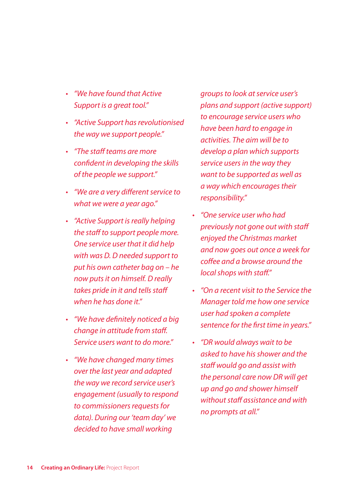- • "We have found that Active *Support is a great tool."*
- "Active Support has revolutionised *the way we support people."*
- • "The staff teams are more *confident in developing the skills of the people we support."*
- "We are a very different service to *what we were a year ago."*
- "Active Support is really helping *the staff to support people more. One service user that it did help with was D. D needed support to put his own catheter bag on – he now puts it on himself. D really takes pride in it and tells staff when he has done it."*
- "We have definitely noticed a big *change in attitude from staff. Service users want to do more."*
- "We have changed many times *over the last year and adapted the way we record service user's engagement (usually to respond to commissioners requests for data). During our 'team day' we decided to have small working*

*groups to look at service user's plans and support (active support) to encourage service users who have been hard to engage in*  activities. The aim will be to *develop a plan which supports service users in the way they want to be supported as well as a way which encourages their responsibility."* 

- "One service user who had *previously not gone out with staff enjoyed the Christmas market and now goes out once a week for coffee and a browse around the local shops with staff."*
- • "On a recent visit to the Service the Manager told me how one service *user had spoken a complete sentence for the first time in years."*
- • "DR would always wait to be *asked to have his shower and the staff would go and assist with*  the personal care now DR will get *up and go and shower himself without staff assistance and with no prompts at all."*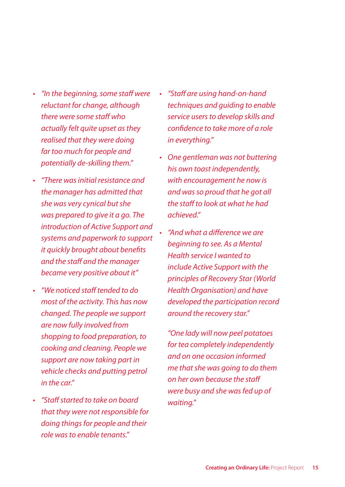- "In the beginning, some staff were *reluctant for change, although there were some staff who actually felt quite upset as they realised that they were doing far too much for people and potentially de-skilling them."*
- • "There wasinitial resistance and *the manager has admitted that she was very cynical but she*  was prepared to give it a go. The *introduction of Active Support and systems and paperwork to support it quickly brought about benefits and the staff and the manager became very positive about it"*
- • "We noticed staff tended to do most of the activity. This has now changed. The people we support *are now fully involved from shopping to food preparation, to cooking and cleaning. People we support are now taking part in vehicle checks and putting petrol in the car."*
- "Staff started to take on board *that they were not responsible for doing things for people and their role was to enable tenants."*
- "Staff are using hand-on-hand *techniques and guiding to enable service users to develop skills and confidence to take more of a role in everything."*
- One gentleman was not buttering *his own toast independently, with encouragement he now is and was so proud that he got all the staff to look at what he had achieved."*
	- "And what a difference we are beginning to see. As a Mental Health service I wanted to *include Active Support with the*  principles of Recovery Star (World *Health Organisation) and have developed the participation record around the recovery star."*

 "*One lady will now peel potatoes for tea completely independently and on one occasion informed me that she was going to do them on her own because the staff were busy and she was fed up of waiting."*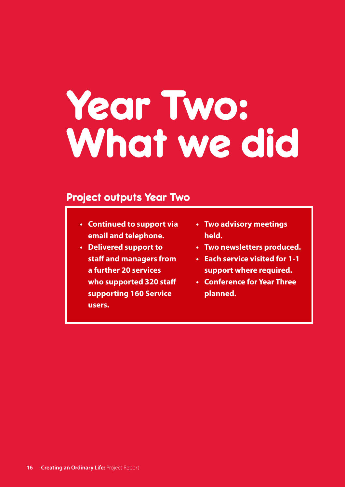# Year Two: What we did

#### Project outputs Year Two

- **• Continued to support via email and telephone.**
- **• Delivered support to staff and managers from a further 20 services who supported 320 staff supporting 160 Service users.**
- **• Two advisory meetings held.**
- **• Two newsletters produced.**
- **• Each service visited for 1-1 support where required.**
- **• Conference for Year Three planned.**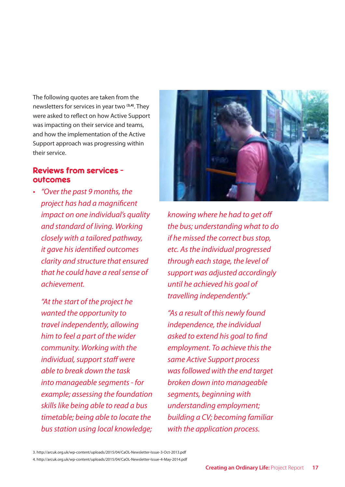The following quotes are taken from the newsletters for services in year two **(3,4)**. They were asked to reflect on how Active Support was impacting on their service and teams, and how the implementation of the Active Support approach was progressing within their service.

#### Reviews from services outcomes

• "Over the past 9 months, the *project has had a magnificent impact on one individual's quality*  and standard of living. Working *closely with a tailored pathway, it gave his identified outcomes clarity and structure that ensured that he could have a real sense of achievement.* 

 "At the start of the project he *wanted the opportunity to travel independently, allowing him to feel a part of the wider*  community. Working with the *individual, support staff were able to break down the task into manageable segments - for example; assessing the foundation skills like being able to read a bus timetable; being able to locate the bus station using local knowledge;* 



*knowing where he had to get off the bus; understanding what to do if he missed the correct bus stop, etc. As the individual progressed through each stage, the level of support was adjusted accordingly until he achieved his goal of travelling independently."* 

 "As a result of this newly found *independence, the individual asked to extend his goal to find*  employment. To achieve this the *same Active Support process was followed with the end target broken down into manageable segments, beginning with understanding employment; building a CV; becoming familiar with the application process.* 

3. http://arcuk.org.uk/wp-content/uploads/2015/04/CaOL-Newsletter-Issue-3-Oct-2013.pdf 4. http://arcuk.org.uk/wp-content/uploads/2015/04/CaOL-Newsletter-Issue-4-May-2014.pdf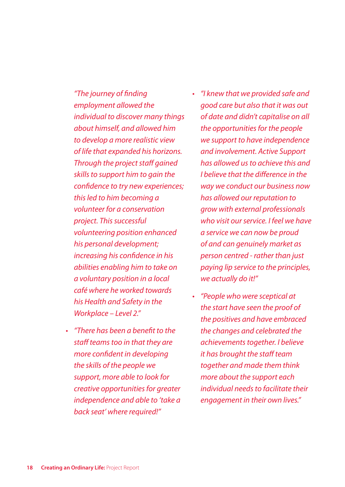"The journey of finding *employment allowed the individual to discover many things about himself, and allowed him to develop a more realistic view of life that expanded his horizons.*  Through the project staff gained *skills to support him to gain the confidence to try new experiences; this led to him becoming a volunteer for a conservation*  project. This successful *volunteering position enhanced his personal development; increasing his confidence in his abilities enabling him to take on a voluntary position in a local café where he worked towards his Health and Safety in the*  Workplace – Level 2."

- • "There has been a benefit to the *staff teams too in that they are more confident in developing the skills of the people we support, more able to look for creative opportunities for greater independence and able to 'take a back seat' where required!"*
- "I knew that we provided safe and *good care but also that it was out of date and didn't capitalise on all the opportunities for the people we support to have independence and involvement. Active Support has allowed us to achieve this and*  I believe that the difference in the *way we conduct our business now has allowed our reputation to grow with external professionals*  who visit our service. I feel we have *a service we can now be proud of and can genuinely market as person centred - rather than just paying lip service to the principles, we actually do it!"*
- *"People who were sceptical at the start have seen the proof of the positives and have embraced the changes and celebrated the*  achievements together. I believe *it has brought the staff team together and made them think more about the support each individual needs to facilitate their engagement in their own lives."*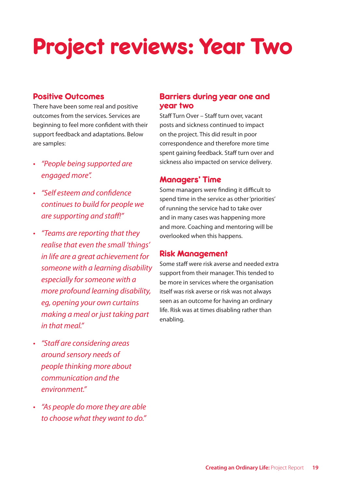# Project reviews: Year Two

#### Positive Outcomes

There have been some real and positive outcomes from the services. Services are beginning to feel more confident with their support feedback and adaptations. Below are samples:

- • "People being supported are *engaged more".*
- • "Self esteem and confidence *continues to build for people we are supporting and staff!"*
- • "Teams are reporting that they *realise that even the small 'things' in life are a great achievement for someone with a learning disability especially for someone with a more profound learning disability, eg, opening your own curtains making a meal or just taking part in that meal."*
- "Staff are considering areas *around sensory needs of people thinking more about communication and the environment."*
- • "As people do more they are able *to choose what they want to do."*

#### Barriers during year one and year two

Staff Turn Over – Staff turn over, vacant posts and sickness continued to impact on the project. This did result in poor correspondence and therefore more time spent gaining feedback. Staff turn over and sickness also impacted on service delivery.

#### Managers' Time

Some managers were finding it difficult to spend time in the service as other 'priorities' of running the service had to take over and in many cases was happening more and more. Coaching and mentoring will be overlooked when this happens.

#### Risk Management

Some staff were risk averse and needed extra support from their manager. This tended to be more in services where the organisation itself was risk averse or risk was not always seen as an outcome for having an ordinary life. Risk was at times disabling rather than enabling.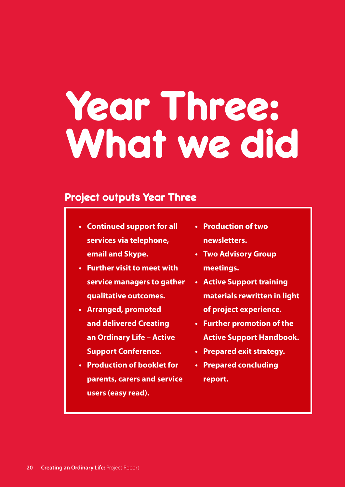# Year Three: What we did

#### Project outputs Year Three

- **• Continued support for all services via telephone, email and Skype.**
- **• Further visit to meet with service managers to gather qualitative outcomes.**
- **• Arranged, promoted and delivered Creating an Ordinary Life – Active Support Conference.**
- **• Production of booklet for parents, carers and service users (easy read).**
- **• Production of two newsletters.**
- **• Two Advisory Group meetings.**
- **• Active Support training materials rewritten in light of project experience.**
- **• Further promotion of the Active Support Handbook.**
- **• Prepared exit strategy.**
- **• Prepared concluding report.**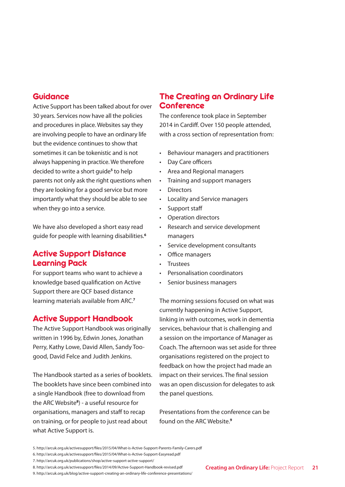#### Guidance

Active Support has been talked about for over 30 years. Services now have all the policies and procedures in place. Websites say they are involving people to have an ordinary life but the evidence continues to show that sometimes it can be tokenistic and is not always happening in practice. We therefore decided to write a short guide**<sup>5</sup>** to help parents not only ask the right questions when they are looking for a good service but more importantly what they should be able to see when they go into a service.

We have also developed a short easy read guide for people with learning disabilities.**<sup>6</sup>**

#### Active Support Distance Learning Pack

For support teams who want to achieve a knowledge based qualification on Active Support there are QCF based distance learning materials available from ARC.**<sup>7</sup>**

#### Active Support Handbook

The Active Support Handbook was originally written in 1996 by, Edwin Jones, Jonathan Perry, Kathy Lowe, David Allen, Sandy Toogood, David Felce and Judith Jenkins.

The Handbook started as a series of booklets. The booklets have since been combined into a single Handbook (free to download from the ARC Website**<sup>8</sup>** ) - a useful resource for organisations, managers and staff to recap on training, or for people to just read about what Active Support is.

#### The Creating an Ordinary Life **Conference**

The conference took place in September 2014 in Cardiff. Over 150 people attended, with a cross section of representation from:

- • Behaviour managers and practitioners
- Day Care officers
- Area and Regional managers
- Training and support managers
- **Directors**
- • Locality and Service managers
- Support staff
- • Operation directors
- • Research and service development managers
- • Service development consultants
- • Office managers
- **Trustees**
- Personalisation coordinators
- Senior business managers

The morning sessions focused on what was currently happening in Active Support, linking in with outcomes, work in dementia services, behaviour that is challenging and a session on the importance of Manager as Coach. The afternoon was set aside for three organisations registered on the project to feedback on how the project had made an impact on their services. The final session was an open discussion for delegates to ask the panel questions.

Presentations from the conference can be found on the ARC Website.**<sup>9</sup>**

5. http://arcuk.org.uk/activesupport/files/2015/04/What-is-Active-Support-Parents-Family-Carers.pdf

8. http://arcuk.org.uk/activesupport/files/2014/09/Active-Support-Handbook-revised.pdf

9. http://arcuk.org.uk/blog/active-support-creating-an-ordinary-life-conference-presentations/

<sup>6.</sup> http://arcuk.org.uk/activesupport/files/2015/04/What-is-Active-Support-Easyread.pdf

<sup>7.</sup> http://arcuk.org.uk/publications/shop/active-support-active-support/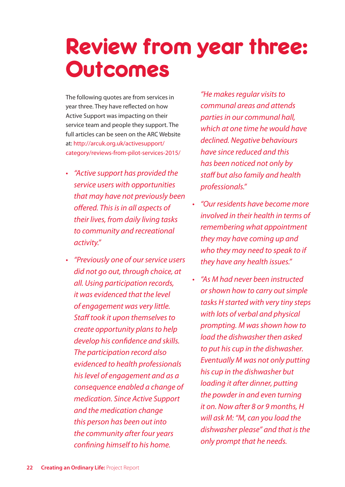### Review from year three: **Outcomes**

The following quotes are from services in year three. They have reflected on how Active Support was impacting on their service team and people they support. The full articles can be seen on the ARC Website at: http://arcuk.org.uk/activesupport/ category/reviews-from-pilot-services-2015/

- • "Active support has provided the *service users with opportunities that may have not previously been*  offered. This is in all aspects of *their lives, from daily living tasks to community and recreational activity."*
- "Previously one of our service users *did not go out, through choice, at all. Using participation records, it was evidenced that the level of engagement was very little. Staff took it upon themselves to create opportunity plans to help develop his confidence and skills.*  The participation record also *evidenced to health professionals his level of engagement and as a consequence enabled a change of medication. Since Active Support and the medication change this person has been out into the community after four years confining himself to his home.*

"He makes regular visits to *communal areas and attends parties in our communal hall, which at one time he would have declined. Negative behaviours have since reduced and this has been noticed not only by staff but also family and health professionals."*

- • "Our residents have become more *involved in their health in terms of remembering what appointment they may have coming up and who they may need to speak to if they have any health issues."*
- "As M had never been instructed *or shown how to carry out simple tasks H started with very tiny steps with lots of verbal and physical*  prompting. M was shown how to *load the dishwasher then asked to put his cup in the dishwasher.*  Eventually M was not only putting *his cup in the dishwasher but loading it after dinner, putting the powder in and even turning*  it on. Now after 8 or 9 months, H will ask M: "M, can you load the *dishwasher please" and that is the only prompt that he needs.*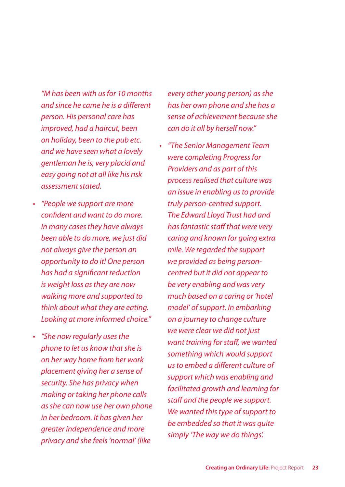"M has been with us for 10 months" *and since he came he is a different person. His personal care has improved, had a haircut, been on holiday, been to the pub etc. and we have seen what a lovely gentleman he is, very placid and easy going not at all like his risk assessment stated.*

- *"People we support are more confident and want to do more.*  In many cases they have always *been able to do more, we just did not always give the person an opportunity to do it! One person has had a significant reduction is weight loss as they are now walking more and supported to think about what they are eating.*  Looking at more informed choice."
- "She now regularly uses the *phone to let us know that she is on her way home from her work placement giving her a sense of security. She has privacy when making or taking her phone calls as she can now use her own phone*  in her bedroom. It has given her *greater independence and more privacy and she feels 'normal' (like*

*every other young person) as she has her own phone and she has a sense of achievement because she can do it all by herself now."*

"The Senior Management Team *were completing Progress for Providers and as part of this process realised that culture was an issue in enabling us to provide truly person-centred support.*  The Edward Lloyd Trust had and *has fantastic staff that were very caring and known for going extra*  mile. We regarded the support *we provided as being personcentred but it did not appear to be very enabling and was very much based on a caring or 'hotel*  model' of support. In embarking *on a journey to change culture we were clear we did not just want training for staff, we wanted something which would support us to embed a different culture of support which was enabling and facilitated growth and learning for staff and the people we support.*  We wanted this type of support to *be embedded so that it was quite*  simply 'The way we do things'.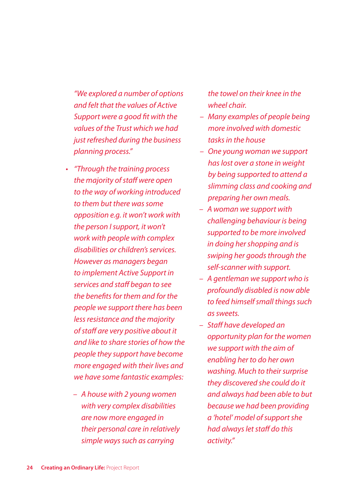"We explored a number of options *and felt that the values of Active Support were a good fit with the*  values of the Trust which we had *just refreshed during the business planning process."*

- "Through the training process *the majority of staff were open to the way of working introduced to them but there was some opposition e.g. it won't work with*  the person Isupport, it won't *work with people with complex disabilities or children's services. However as managers began to implement Active Support in services and staff began to see the benefits for them and for the people we support there has been less resistance and the majority of staff are very positive about it and like to share stories of how the people they support have become more engaged with their lives and*  we have some fantastic examples:
	- *– A house with 2 young women with very complex disabilities are now more engaged in their personal care in relatively simple ways such as carrying*

*the towel on their knee in the wheel chair.*

- Many examples of people being *more involved with domestic tasks in the house*
- *– One young woman we support has lost over a stone in weight by being supported to attend a slimming class and cooking and preparing her own meals.*
- *– A woman we support with challenging behaviour is being supported to be more involved in doing her shopping and is swiping her goods through the self-scanner with support.*
- *– A gentleman we support who is profoundly disabled is now able to feed himself small things such as sweets.*
- *– Staff have developed an opportunity plan for the women we support with the aim of enabling her to do her own*  washing. Much to their surprise *they discovered she could do it and always had been able to but because we had been providing a 'hotel' model of support she had always let staff do this activity."*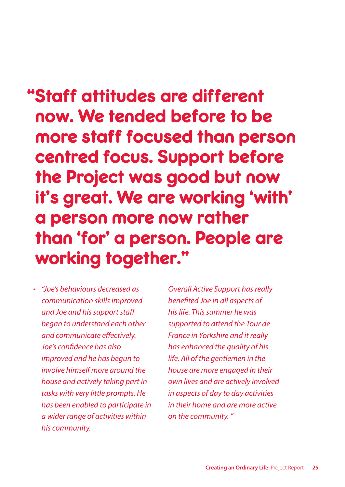"Staff attitudes are different now. We tended before to be more staff focused than person centred focus. Support before the Project was good but now it's great. We are working 'with' a person more now rather than 'for' a person. People are working together."

• "Joe's behaviours decreased as *communication skills improved*  and Joe and his support staff *began to understand each other and communicate effectively.*  Joe's confidence has also *improved and he has begun to involve himself more around the house and actively taking part in tasks with very little prompts. He has been enabled to participate in a wider range of activities within his community.*

*Overall Active Support has really*  benefited Joe in all aspects of his life. This summer he was supported to attend the Tour de *France in Yorkshire and it really has enhanced the quality of his life. All of the gentlemen in the house are more engaged in their own lives and are actively involved in aspects of day to day activities in their home and are more active on the community. "*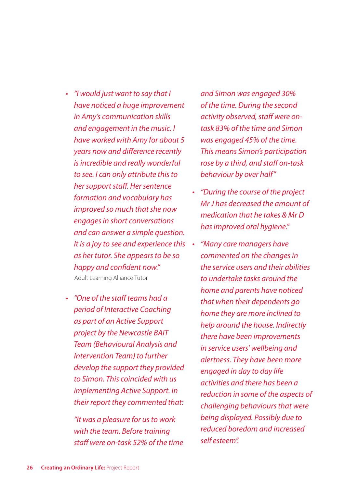- • "I would just want to say that I *have noticed a huge improvement in Amy's communication skills*  and engagement in the music. I *have worked with Amy for about 5 years now and difference recently is incredible and really wonderful*  to see. I can only attribute this to *her support staff. Her sentence formation and vocabulary has improved so much that she now engages in short conversations and can answer a simple question.*  It is a joy to see and experience this  $\cdot$ *as her tutor. She appears to be so happy and confident now."* Adult Learning Alliance Tutor
- "One of the staff teams had a period of Interactive Coaching *as part of an Active Support*  project by the Newcastle BAIT Team (Behavioural Analysis and Intervention Team) to further *develop the support they provided*  to Simon. This coincided with us implementing Active Support. In their report they commented that:

"It was a pleasure for us to work *with the team. Before training staff were on-task 52% of the time*  and Simon was engaged 30% *of the time. During the second activity observed, staff were ontask 83% of the time and Simon was engaged 45% of the time.*  This means Simon's participation *rose by a third, and staff on-task behaviour by over half"*

- *"During the course of the project* Mr J has decreased the amount of medication that he takes & Mr D *has improved oral hygiene."*
- "Many care managers have *commented on the changes in the service users and their abilities to undertake tasks around the home and parents have noticed that when their dependents go home they are more inclined to*  help around the house. Indirectly *there have been improvements in service users' wellbeing and*  alertness. They have been more *engaged in day to day life activities and there has been a reduction in some of the aspects of challenging behaviours that were being displayed. Possibly due to reduced boredom and increased self esteem".*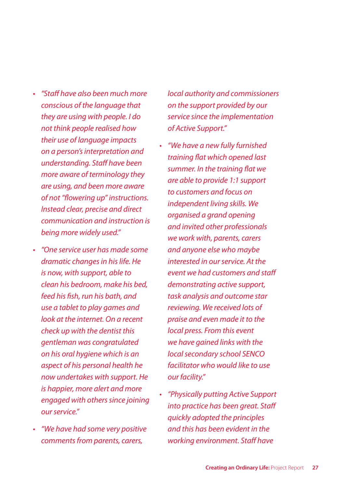- *f* "Staff have also been much more *conscious of the language that*  they are using with people. I do *not think people realised how their use of language impacts on a person's interpretation and understanding. Staff have been more aware of terminology they are using, and been more aware*  of not "flowering up" instructions. Instead clear, precise and direct *communication and instruction is being more widely used."*
- "One service user has made some *dramatic changes in his life. He is now, with support, able to clean his bedroom, make his bed, feed his fish, run his bath, and use a tablet to play games and look at the internet. On a recent check up with the dentist this gentleman was congratulated on his oral hygiene which is an aspect of his personal health he now undertakes with support. He is happier, more alert and more engaged with others since joining our service."*
- "We have had some very positive *comments from parents, carers,*

*local authority and commissioners on the support provided by our service since the implementation of Active Support."*

- "We have a new fully furnished training flat which opened last summer. In the training flat we are able to provide 1:1 support *to customers and focus on*  independent living skills. We *organised a grand opening and invited other professionals we work with, parents, carers and anyone else who maybe interested in our service. At the event we had customers and staff demonstrating active support, task analysis and outcome star*  reviewing. We received lots of *praise and even made it to the local press. From this event we have gained links with the local secondary school SENCO facilitator who would like to use our facility."*
- "Physically putting Active Support *into practice has been great. Staff quickly adopted the principles and this has been evident in the working environment. Staff have*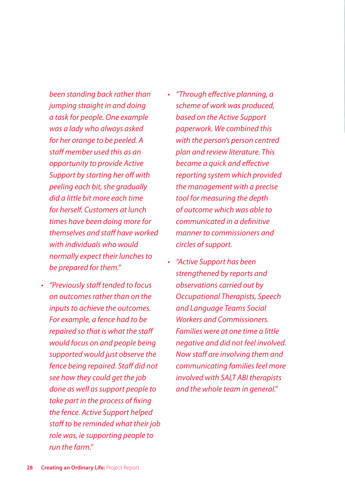*been standing back rather than jumping straight in and doing a task for people. One example was a lady who always asked for her orange to be peeled. A staff member used this as an opportunity to provide Active Support by starting her off with peeling each bit, she gradually did a little bit more each time for herself. Customers at lunch times have been doing more for themselves and staff have worked with individuals who would normally expect their lunches to be prepared for them."*

- • "Previously staff tended to focus *on outcomes rather than on the inputs to achieve the outcomes. For example, a fence had to be repaired so that is what the staff would focus on and people being supported would just observe the fence being repaired. Staff did not see how they could get the job done as well as support people to take part in the process of fixing the fence. Active Support helped staff to be reminded what their job role was, ie supporting people to run the farm."*
- "Through effective planning, a *scheme of work was produced, based on the Active Support*  paperwork. We combined this *with the person's person centred*  plan and review literature. This *became a quick and effective reporting system which provided the management with a precise tool for measuring the depth of outcome which was able to communicated in a definitive manner to commissioners and circles of support.*
- • "Active Support has been *strengthened by reports and observations carried out by*  Occupational Therapists, Speech and Language Teams Social Workers and Commissioners. *Families were at one time a little negative and did not feel involved. Now staff are involving them and communicating families feel more*  involved with SALT ABI therapists *and the whole team in general."*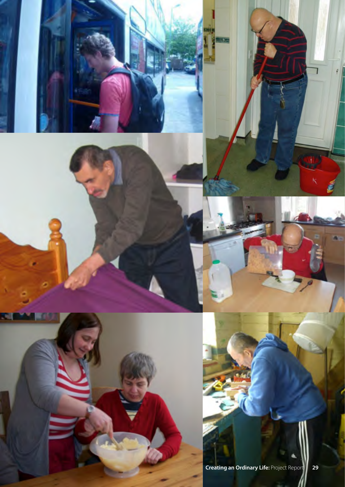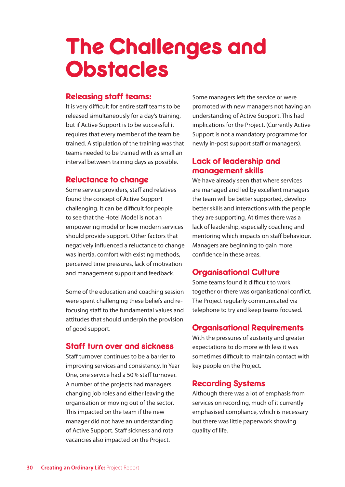### The Challenges and **Obstacles**

#### Releasing staff teams:

It is very difficult for entire staff teams to be released simultaneously for a day's training, but if Active Support is to be successful it requires that every member of the team be trained. A stipulation of the training was that teams needed to be trained with as small an interval between training days as possible.

#### Reluctance to change

Some service providers, staff and relatives found the concept of Active Support challenging. It can be difficult for people to see that the Hotel Model is not an empowering model or how modern services should provide support. Other factors that negatively influenced a reluctance to change was inertia, comfort with existing methods, perceived time pressures, lack of motivation and management support and feedback.

Some of the education and coaching session were spent challenging these beliefs and refocusing staff to the fundamental values and attitudes that should underpin the provision of good support.

#### Staff turn over and sickness

Staff turnover continues to be a barrier to improving services and consistency. In Year One, one service had a 50% staff turnover. A number of the projects had managers changing job roles and either leaving the organisation or moving out of the sector. This impacted on the team if the new manager did not have an understanding of Active Support. Staff sickness and rota vacancies also impacted on the Project.

Some managers left the service or were promoted with new managers not having an understanding of Active Support. This had implications for the Project. (Currently Active Support is not a mandatory programme for newly in-post support staff or managers).

#### Lack of leadership and management skills

We have already seen that where services are managed and led by excellent managers the team will be better supported, develop better skills and interactions with the people they are supporting. At times there was a lack of leadership, especially coaching and mentoring which impacts on staff behaviour. Managers are beginning to gain more confidence in these areas.

#### Organisational Culture

Some teams found it difficult to work together or there was organisational conflict. The Project regularly communicated via telephone to try and keep teams focused.

#### Organisational Requirements

With the pressures of austerity and greater expectations to do more with less it was sometimes difficult to maintain contact with key people on the Project.

#### Recording Systems

Although there was a lot of emphasis from services on recording, much of it currently emphasised compliance, which is necessary but there was little paperwork showing quality of life.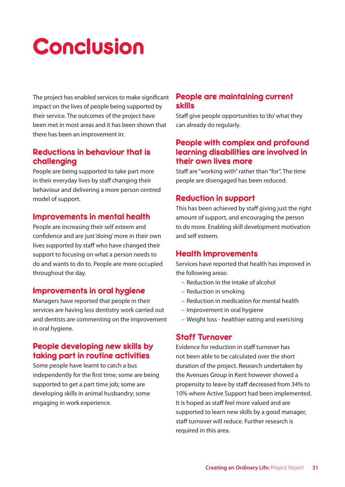# Conclusion

The project has enabled services to make significant impact on the lives of people being supported by their service. The outcomes of the project have been met in most areas and it has been shown that there has been an improvement in:

#### Reductions in behaviour that is challenging

People are being supported to take part more in their everyday lives by staff changing their behaviour and delivering a more person centred model of support.

#### Improvements in mental health

People are increasing their self esteem and confidence and are just 'doing' more in their own lives supported by staff who have changed their support to focusing on what a person needs to do and wants to do to. People are more occupied throughout the day.

#### Improvements in oral hygiene

Managers have reported that people in their services are having less dentistry work carried out and dentists are commenting on the improvement in oral hygiene.

#### People developing new skills by taking part in routine activities

Some people have learnt to catch a bus independently for the first time; some are being supported to get a part time job; some are developing skills in animal husbandry; some engaging in work experience.

#### People are maintaining current skills

Staff give people opportunities to 'do' what they can already do regularly.

#### People with complex and profound learning disabilities are involved in their own lives more

Staff are "working with" rather than "for". The time people are disengaged has been reduced.

#### Reduction in support

This has been achieved by staff giving just the right amount of support, and encouraging the person to do more. Enabling skill development motivation and self esteem.

#### Health Improvements

Services have reported that health has improved in the following areas:

- Reduction in the intake of alcohol
- Reduction in smoking
- Reduction in medication for mental health
- Improvement in oral hygiene
- Weight loss healthier eating and exercising

#### Staff Turnover

Evidence for reduction in staff turnover has not been able to be calculated over the short duration of the project. Research undertaken by the Avenues Group in Kent however showed a propensity to leave by staff decreased from 34% to 10% where Active Support had been implemented. It is hoped as staff feel more valued and are supported to learn new skills by a good manager, staff turnover will reduce. Further research is required in this area.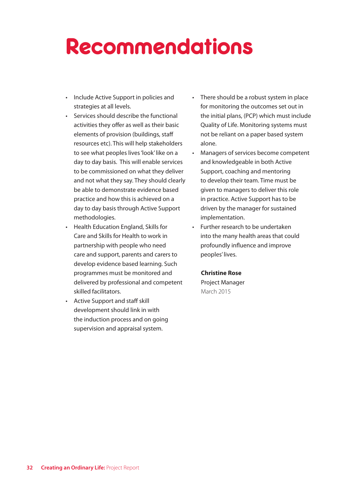### Recommendations

- • Include Active Support in policies and strategies at all levels.
- • Services should describe the functional activities they offer as well as their basic elements of provision (buildings, staff resources etc). This will help stakeholders to see what peoples lives 'look' like on a day to day basis. This will enable services to be commissioned on what they deliver and not what they say. They should clearly be able to demonstrate evidence based practice and how this is achieved on a day to day basis through Active Support methodologies.
- • Health Education England, Skills for Care and Skills for Health to work in partnership with people who need care and support, parents and carers to develop evidence based learning. Such programmes must be monitored and delivered by professional and competent skilled facilitators.
- • Active Support and staff skill development should link in with the induction process and on going supervision and appraisal system.
- There should be a robust system in place for monitoring the outcomes set out in the initial plans, (PCP) which must include Quality of Life. Monitoring systems must not be reliant on a paper based system alone.
- • Managers of services become competent and knowledgeable in both Active Support, coaching and mentoring to develop their team. Time must be given to managers to deliver this role in practice. Active Support has to be driven by the manager for sustained implementation.
- Further research to be undertaken into the many health areas that could profoundly influence and improve peoples' lives.

**Christine Rose** Project Manager March 2015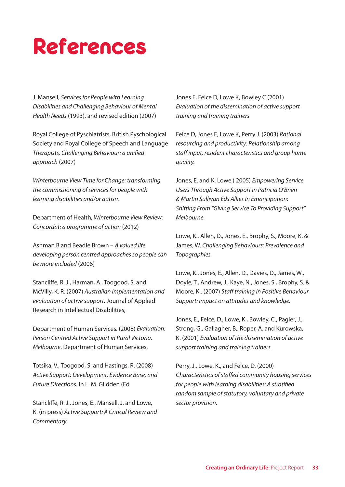### References

J. Mansell, Services for People with Learning Disabilities and Challenging Behaviour of Mental *Health Needs* (1993), and revised edition (2007)

Royal College of Pyschiatrists, British Pyschological Society and Royal College of Speech and Language Therapists, Challenging Behaviour: a unified *approach* (2007)

Winterbourne View Time for Change: transforming *the commissioning of services for people with learning disabilities and/or autism*

Department of Health, Winterbourne View Review: Concordat: a programme of action (2012)

Ashman B and Beadle Brown – *A valued life developing person centred approaches so people can be more included* (2006)

Stancliffe, R. J., Harman, A., Toogood, S. and McVilly, K. R. (2007) *Australian implementation and evaluation of active support.* Journal of Applied Research in Intellectual Disabilities,

Department of Human Services. (2008) Evaluation: Person Centred Active Support in Rural Victoria. Melbourne. Department of Human Services.

Totsika, V., Toogood, S. and Hastings, R. (2008) Active Support: Development, Evidence Base, and *Future Directions.* In L. M. Glidden (Ed

Stancliffe, R. J., Jones, E., Mansell, J. and Lowe, K. (in press) Active Support: A Critical Review and *Commentary.*

Jones E, Felce D, Lowe K, Bowley C (2001) *Evaluation of the dissemination of active support training and training trainers*

Felce D, Jones E, Lowe K, Perry J. (2003) Rational resourcing and productivity: Relationship among *staff input, resident characteristics and group home quality.* 

Jones, E. and K. Lowe ( 2005) *Empowering Service*  Users Through Active Support in Patricia O'Brien & Martin Sullivan Eds Allies In Emancipation: Shifting From "Giving Service To Providing Support" Melbourne.

Lowe, K., Allen, D., Jones, E., Brophy, S., Moore, K. & James, W. Challenging Behaviours: Prevalence and Topographies.

Lowe, K., Jones, E., Allen, D., Davies, D., James, W., Doyle, T., Andrew, J., Kaye, N., Jones, S., Brophy, S. & Moore, K.. (2007) *Staff training in Positive Behaviour*  Support: impact on attitudes and knowledge.

Jones, E., Felce, D., Lowe, K., Bowley, C., Pagler, J., Strong, G., Gallagher, B,. Roper, A. and Kurowska, K. (2001) *Evaluation of the dissemination of active support training and training trainers.*

Perry, J., Lowe, K., and Felce, D. (2000) *Characteristics of staffed community housing services*  for people with learning disabilities: A stratified *random sample of statutory, voluntary and private sector provision.*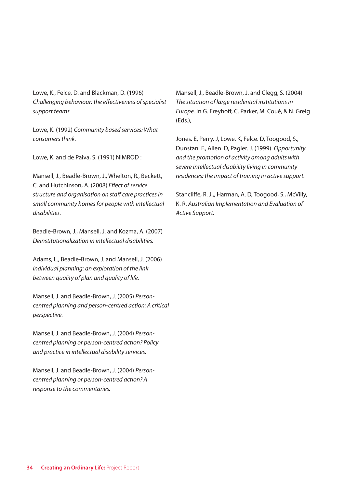Lowe, K., Felce, D. and Blackman, D. (1996) Challenging behaviour: the effectiveness of specialist *support teams.* 

Lowe, K. (1992) Community based services: What *consumers think.* 

Lowe, K. and de Paiva, S. (1991) NIMROD :

Mansell, J., Beadle-Brown, J., Whelton, R., Beckett, C. and Hutchinson, A. (2008) *Effect of service structure and organisation on staff care practices in small community homes for people with intellectual disabilities.*

Beadle-Brown, J., Mansell, J. and Kozma, A. (2007) *Deinstitutionalization in intellectual disabilities.*

Adams, L., Beadle-Brown, J. and Mansell, J. (2006) Individual planning: an exploration of the link *between quality of plan and quality of life.* 

Mansell, J. and Beadle-Brown, J. (2005) *Person*centred planning and person-centred action: A critical *perspective.* 

Mansell, J. and Beadle-Brown, J. (2004) *Personcentred planning or person-centred action? Policy and practice in intellectual disability services.* 

Mansell, J. and Beadle-Brown, J. (2004) *Personcentred planning or person-centred action? A response to the commentaries.*

Mansell, J., Beadle-Brown, J. and Clegg, S. (2004) The situation of large residential institutions in *Europe.* In G. Freyhoff, C. Parker, M. Coué, & N. Greig (Eds.),

Jones. E, Perry. J, Lowe. K, Felce. D, Toogood, S., Dunstan. F., Allen. D, Pagler. J. (1999). *Opportunity and the promotion of activity among adults with severe intellectual disability living in community*  residences: the impact of training in active support.

Stancliffe, R. J.,, Harman, A. D, Toogood, S., McVilly, K. R. Australian Implementation and Evaluation of *Active Support.*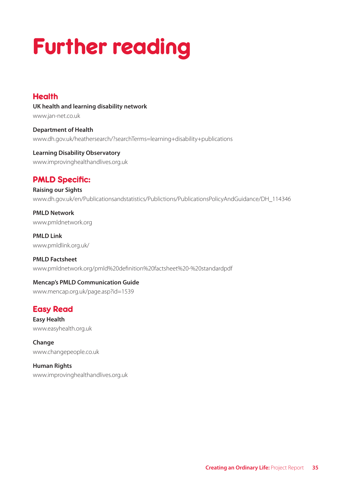# Further reading

#### **Health**

**UK health and learning disability network** www.jan-net.co.uk

**Department of Health** www.dh.gov.uk/heathersearch/?searchTerms=learning+disability+publications

**Learning Disability Observatory** www.improvinghealthandlives.org.uk

#### PMLD Specific:

**Raising our Sights** www.dh.gov.uk/en/Publicationsandstatistics/Publictions/PublicationsPolicyAndGuidance/DH\_114346

**PMLD Network** www.pmldnetwork.org

**PMLD Link** www.pmldlink.org.uk/

**PMLD Factsheet** www.pmldnetwork.org/pmld%20definition%20factsheet%20-%20standardpdf

**Mencap's PMLD Communication Guide** www.mencap.org.uk/page.asp?id=1539

#### Easy Read

**Easy Health** www.easyhealth.org.uk

**Change** www.changepeople.co.uk

**Human Rights** www.improvinghealthandlives.org.uk